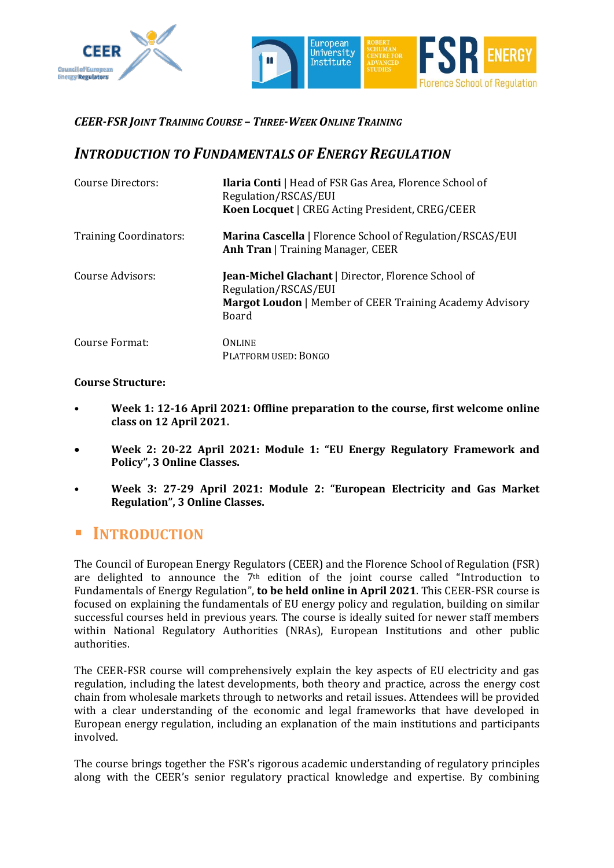



#### *CEER-FSR JOINT TRAINING COURSE – THREE-WEEK ONLINE TRAINING*

## *INTRODUCTION TO FUNDAMENTALS OF ENERGY REGULATION*

| Course Directors:             | <b>Ilaria Conti</b>   Head of FSR Gas Area, Florence School of<br>Regulation/RSCAS/EUI<br><b>Koen Locquet</b>   CREG Acting President, CREG/CEER               |
|-------------------------------|----------------------------------------------------------------------------------------------------------------------------------------------------------------|
| <b>Training Coordinators:</b> | <b>Marina Cascella</b>   Florence School of Regulation/RSCAS/EUI<br><b>Anh Tran</b>   Training Manager, CEER                                                   |
| Course Advisors:              | <b>Jean-Michel Glachant</b>   Director, Florence School of<br>Regulation/RSCAS/EUI<br><b>Margot Loudon</b>   Member of CEER Training Academy Advisory<br>Board |
| Course Format:                | <b>ONLINE</b><br>PLATFORM USED: BONGO                                                                                                                          |

#### **Course Structure:**

- **Week 1: 12-16 April 2021: Offline preparation to the course, first welcome online class on 12 April 2021.**
- **Week 2: 20-22 April 2021: Module 1: "EU Energy Regulatory Framework and Policy", 3 Online Classes.**
- **Week 3: 27-29 April 2021: Module 2: "European Electricity and Gas Market Regulation", 3 Online Classes.**

### ▪ **INTRODUCTION**

The Council of European Energy Regulators (CEER) and the Florence School of Regulation (FSR) are delighted to announce the 7<sup>th</sup> edition of the joint course called "Introduction to Fundamentals of Energy Regulation", **to be held online in April 2021**. This CEER-FSR course is focused on explaining the fundamentals of EU energy policy and regulation, building on similar successful courses held in previous years. The course is ideally suited for newer staff members within National Regulatory Authorities (NRAs), European Institutions and other public authorities.

The CEER-FSR course will comprehensively explain the key aspects of EU electricity and gas regulation, including the latest developments, both theory and practice, across the energy cost chain from wholesale markets through to networks and retail issues. Attendees will be provided with a clear understanding of the economic and legal frameworks that have developed in European energy regulation, including an explanation of the main institutions and participants involved.

The course brings together the FSR's rigorous academic understanding of regulatory principles along with the CEER's senior regulatory practical knowledge and expertise. By combining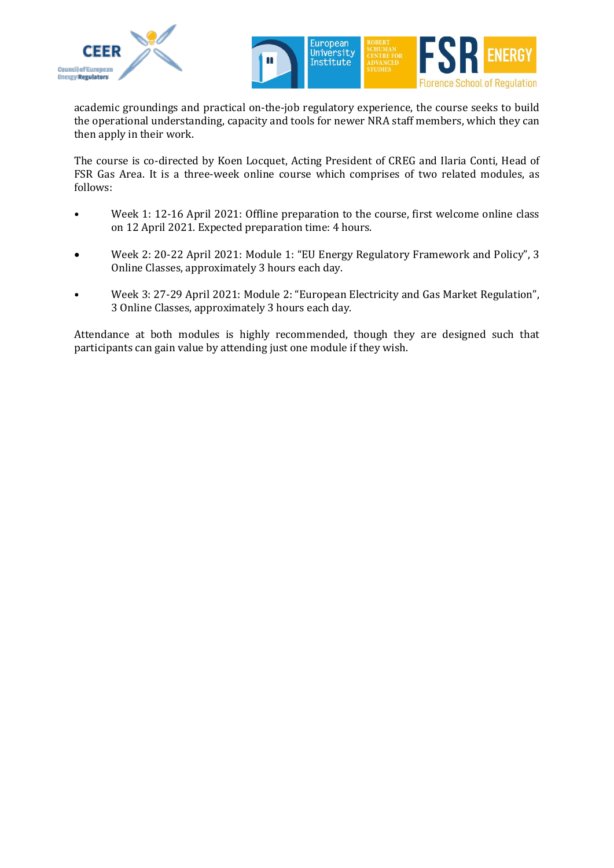



academic groundings and practical on-the-job regulatory experience, the course seeks to build the operational understanding, capacity and tools for newer NRA staff members, which they can then apply in their work.

The course is co-directed by Koen Locquet, Acting President of CREG and Ilaria Conti, Head of FSR Gas Area. It is a three-week online course which comprises of two related modules, as follows:

- Week 1: 12-16 April 2021: Offline preparation to the course, first welcome online class on 12 April 2021. Expected preparation time: 4 hours.
- Week 2: 20-22 April 2021: Module 1: "EU Energy Regulatory Framework and Policy", 3 Online Classes, approximately 3 hours each day.
- Week 3: 27-29 April 2021: Module 2: "European Electricity and Gas Market Regulation", 3 Online Classes, approximately 3 hours each day.

Attendance at both modules is highly recommended, though they are designed such that participants can gain value by attending just one module if they wish.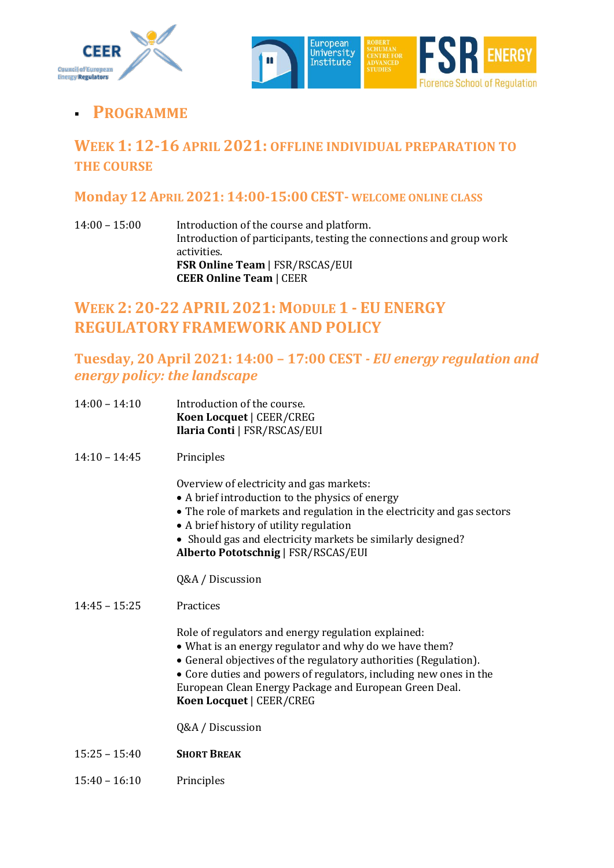



# ▪ **PROGRAMME**

# **WEEK 1: 12-16 APRIL 2021: OFFLINE INDIVIDUAL PREPARATION TO THE COURSE**

#### **Monday 12 APRIL 2021: 14:00-15:00 CEST- WELCOME ONLINE CLASS**

14:00 – 15:00 Introduction of the course and platform. Introduction of participants, testing the connections and group work activities. **FSR Online Team** | FSR/RSCAS/EUI **CEER Online Team** | CEER

# **WEEK 2: 20-22 APRIL 2021: MODULE 1 - EU ENERGY REGULATORY FRAMEWORK AND POLICY**

## **Tuesday, 20 April 2021: 14:00 – 17:00 CEST** *- EU energy regulation and energy policy: the landscape*

- 14:00 14:10 Introduction of the course. **Koen Locquet** | CEER/CREG **Ilaria Conti** | FSR/RSCAS/EUI
- 14:10 14:45 Principles

Overview of electricity and gas markets:

- A brief introduction to the physics of energy
- The role of markets and regulation in the electricity and gas sectors
- A brief history of utility regulation
- Should gas and electricity markets be similarly designed? **Alberto Pototschnig** | FSR/RSCAS/EUI

Q&A / Discussion

#### 14:45 – 15:25 Practices

Role of regulators and energy regulation explained:

- What is an energy regulator and why do we have them?
- General objectives of the regulatory authorities (Regulation).
- Core duties and powers of regulators, including new ones in the

European Clean Energy Package and European Green Deal. **Koen Locquet** | CEER/CREG

Q&A / Discussion

- 15:25 15:40 **SHORT BREAK**
- 15:40 16:10 Principles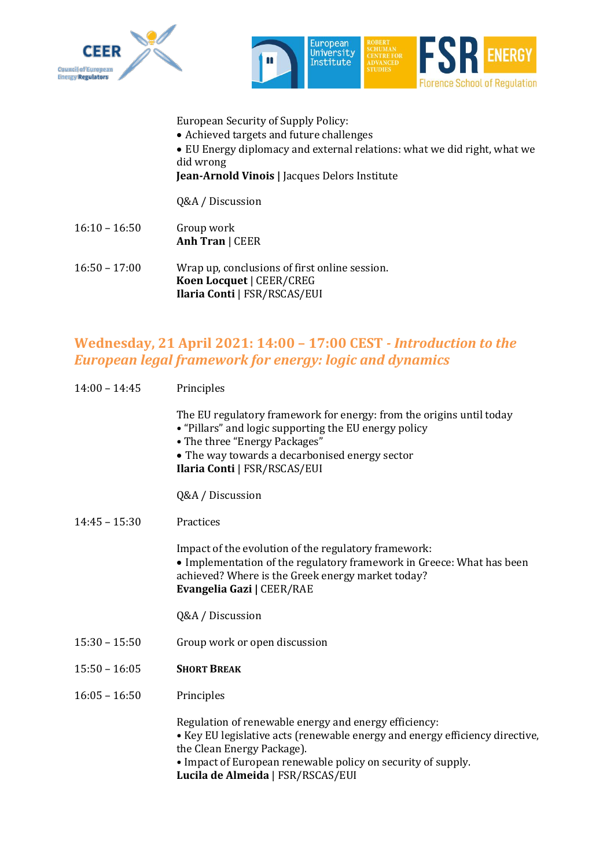



European Security of Supply Policy:

- Achieved targets and future challenges
- EU Energy diplomacy and external relations: what we did right, what we did wrong

**Jean-Arnold Vinois |** Jacques Delors Institute

Q&A / Discussion

- 16:10 16:50 Group work **Anh Tran** | CEER
- 16:50 17:00 Wrap up, conclusions of first online session. **Koen Locquet** | CEER/CREG **Ilaria Conti** | FSR/RSCAS/EUI

#### **Wednesday, 21 April 2021: 14:00 – 17:00 CEST** *- Introduction to the European legal framework for energy: logic and dynamics*

| $14:00 - 14:45$ | Principles                                                                                                                                                                                                                                                               |
|-----------------|--------------------------------------------------------------------------------------------------------------------------------------------------------------------------------------------------------------------------------------------------------------------------|
|                 | The EU regulatory framework for energy: from the origins until today<br>• "Pillars" and logic supporting the EU energy policy<br>• The three "Energy Packages"<br>• The way towards a decarbonised energy sector<br>Ilaria Conti   FSR/RSCAS/EUI                         |
|                 | Q&A / Discussion                                                                                                                                                                                                                                                         |
| $14:45 - 15:30$ | Practices                                                                                                                                                                                                                                                                |
|                 | Impact of the evolution of the regulatory framework:<br>• Implementation of the regulatory framework in Greece: What has been<br>achieved? Where is the Greek energy market today?<br>Evangelia Gazi   CEER/RAE                                                          |
|                 | Q&A / Discussion                                                                                                                                                                                                                                                         |
| $15:30 - 15:50$ | Group work or open discussion                                                                                                                                                                                                                                            |
| $15:50 - 16:05$ | <b>SHORT BREAK</b>                                                                                                                                                                                                                                                       |
| $16:05 - 16:50$ | Principles                                                                                                                                                                                                                                                               |
|                 | Regulation of renewable energy and energy efficiency:<br>• Key EU legislative acts (renewable energy and energy efficiency directive,<br>the Clean Energy Package).<br>• Impact of European renewable policy on security of supply.<br>Lucila de Almeida   FSR/RSCAS/EUI |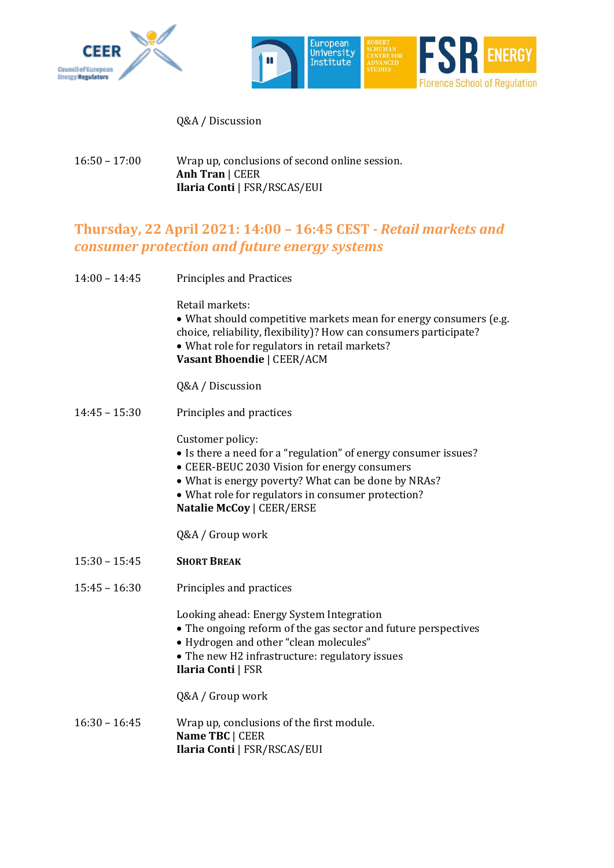



Q&A / Discussion

16:50 – 17:00 Wrap up, conclusions of second online session. **Anh Tran** | CEER **Ilaria Conti** | FSR/RSCAS/EUI

## **Thursday, 22 April 2021: 14:00 – 16:45 CEST** *- Retail markets and consumer protection and future energy systems*

| $14:00 - 14:45$ | <b>Principles and Practices</b>                                                                                                                                                                                                                                                      |
|-----------------|--------------------------------------------------------------------------------------------------------------------------------------------------------------------------------------------------------------------------------------------------------------------------------------|
|                 | Retail markets:<br>• What should competitive markets mean for energy consumers (e.g.<br>choice, reliability, flexibility)? How can consumers participate?<br>• What role for regulators in retail markets?<br>Vasant Bhoendie   CEER/ACM                                             |
|                 | Q&A / Discussion                                                                                                                                                                                                                                                                     |
| $14:45 - 15:30$ | Principles and practices                                                                                                                                                                                                                                                             |
|                 | Customer policy:<br>• Is there a need for a "regulation" of energy consumer issues?<br>• CEER-BEUC 2030 Vision for energy consumers<br>• What is energy poverty? What can be done by NRAs?<br>• What role for regulators in consumer protection?<br><b>Natalie McCoy   CEER/ERSE</b> |
|                 | Q&A / Group work                                                                                                                                                                                                                                                                     |
| $15:30 - 15:45$ | <b>SHORT BREAK</b>                                                                                                                                                                                                                                                                   |
| $15:45 - 16:30$ | Principles and practices                                                                                                                                                                                                                                                             |
|                 | Looking ahead: Energy System Integration<br>• The ongoing reform of the gas sector and future perspectives<br>• Hydrogen and other "clean molecules"<br>• The new H2 infrastructure: regulatory issues<br><b>Ilaria Conti   FSR</b>                                                  |
|                 | Q&A / Group work                                                                                                                                                                                                                                                                     |
| $16:30 - 16:45$ | Wrap up, conclusions of the first module.<br>Name TBC   CEER<br>Ilaria Conti   FSR/RSCAS/EUI                                                                                                                                                                                         |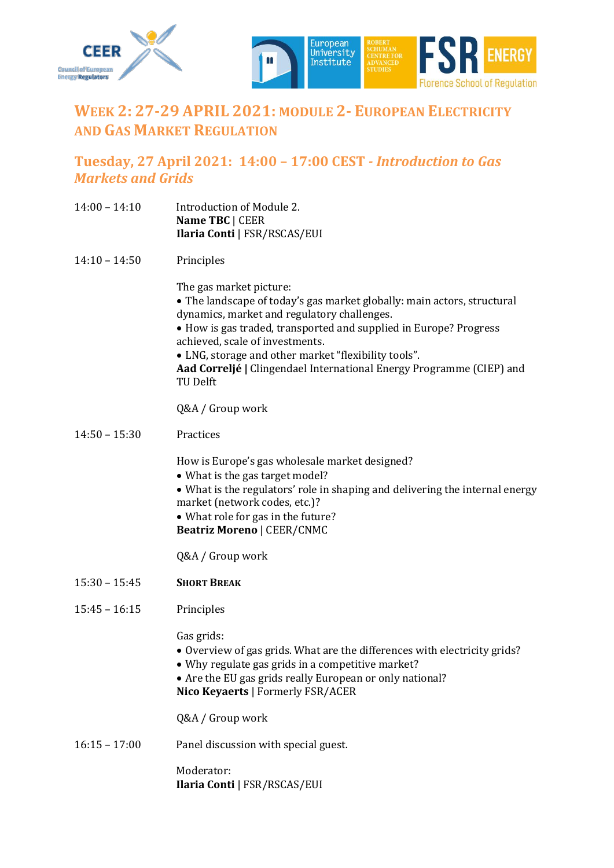



# **WEEK 2: 27-29 APRIL 2021: MODULE 2- EUROPEAN ELECTRICITY AND GAS MARKET REGULATION**

#### **Tuesday, 27 April 2021: 14:00 – 17:00 CEST** *- Introduction to Gas Markets and Grids*

- 14:00 14:10 Introduction of Module 2. **Name TBC** | CEER **Ilaria Conti** | FSR/RSCAS/EUI
- 14:10 14:50 Principles

The gas market picture:

- The landscape of today's gas market globally: main actors, structural dynamics, market and regulatory challenges.
- How is gas traded, transported and supplied in Europe? Progress achieved, scale of investments.
- LNG, storage and other market "flexibility tools".

**Aad Correljé |** Clingendael International Energy Programme (CIEP) and TU Delft

Q&A / Group work

14:50 – 15:30 Practices

How is Europe's gas wholesale market designed?

- What is the gas target model?
- What is the regulators' role in shaping and delivering the internal energy market (network codes, etc.)?
- What role for gas in the future?
- **Beatriz Moreno** | CEER/CNMC

Q&A / Group work

- 15:30 15:45 **SHORT BREAK**
- 15:45 16:15 Principles

Gas grids:

- Overview of gas grids. What are the differences with electricity grids?
- Why regulate gas grids in a competitive market?
- Are the EU gas grids really European or only national?
- **Nico Keyaerts** | Formerly FSR/ACER

Q&A / Group work

16:15 – 17:00 Panel discussion with special guest.

Moderator: **Ilaria Conti** | FSR/RSCAS/EUI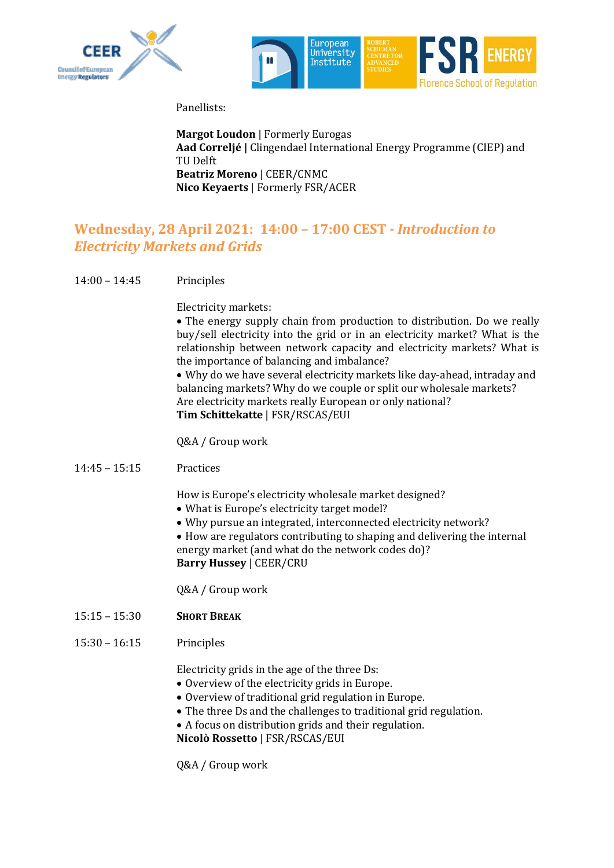



Panellists:

**Margot Loudon** | Formerly Eurogas **Aad Correljé |** Clingendael International Energy Programme (CIEP) and TU Delft **Beatriz Moreno** | CEER/CNMC **Nico Keyaerts** | Formerly FSR/ACER

#### **Wednesday, 28 April 2021: 14:00 – 17:00 CEST** *- Introduction to Electricity Markets and Grids*

14:00 – 14:45 Principles

Electricity markets:

• The energy supply chain from production to distribution. Do we really buy/sell electricity into the grid or in an electricity market? What is the relationship between network capacity and electricity markets? What is the importance of balancing and imbalance?

• Why do we have several electricity markets like day-ahead, intraday and balancing markets? Why do we couple or split our wholesale markets? Are electricity markets really European or only national? **Tim Schittekatte** | FSR/RSCAS/EUI

Q&A / Group work

14:45 – 15:15 Practices

How is Europe's electricity wholesale market designed?

- What is Europe's electricity target model?
- Why pursue an integrated, interconnected electricity network?

• How are regulators contributing to shaping and delivering the internal energy market (and what do the network codes do)? **Barry Hussey** | CEER/CRU

Q&A / Group work

- 15:15 15:30 **SHORT BREAK**
- 15:30 16:15 Principles

Electricity grids in the age of the three Ds:

- Overview of the electricity grids in Europe.
- Overview of traditional grid regulation in Europe.
- The three Ds and the challenges to traditional grid regulation.
- A focus on distribution grids and their regulation.

**Nicolò Rossetto** | FSR/RSCAS/EUI

Q&A / Group work